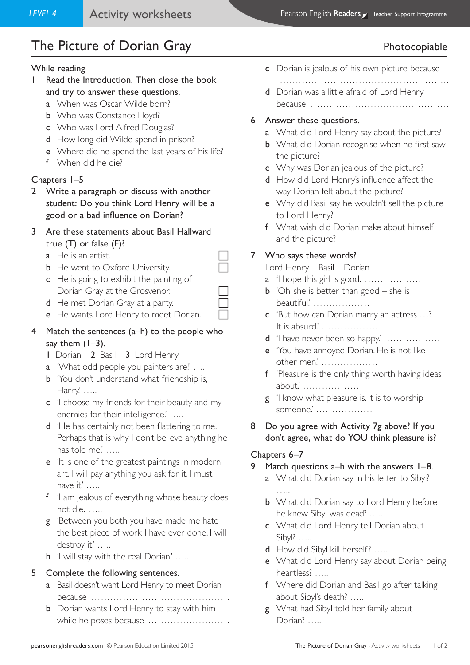# The Picture of Dorian Gray **Photocopiable** Photocopiable

#### While reading

- 1 Read the Introduction. Then close the book and try to answer these questions.
	- a When was Oscar Wilde born?
	- **b** Who was Constance Lloyd?
	- c Who was Lord Alfred Douglas?
	- d How long did Wilde spend in prison?
	- e Where did he spend the last years of his life?
	- f When did he die?

#### Chapters 1–5

- 2 Write a paragraph or discuss with another student: Do you think Lord Henry will be a good or a bad influence on Dorian?
- 3 Are these statements about Basil Hallward true (T) or false (F)?
	- $a$  He is an artist.
	- **b** He went to Oxford University.
	- c He is going to exhibit the painting of Dorian Gray at the Grosvenor.
	- d He met Dorian Gray at a party.
	- e He wants Lord Henry to meet Dorian.

### 4 Match the sentences (a–h) to the people who say them  $(1-3)$ .

- 1 Dorian 2 Basil 3 Lord Henry
- a 'What odd people you painters are!' …..
- **b** 'You don't understand what friendship is, Harry.' …..
- c 'I choose my friends for their beauty and my enemies for their intelligence.' …..
- d 'He has certainly not been flattering to me. Perhaps that is why I don't believe anything he has told me.' .....
- e 'It is one of the greatest paintings in modern art. I will pay anything you ask for it. I must have it.' …..
- f 'I am jealous of everything whose beauty does not die.' …..
- g 'Between you both you have made me hate the best piece of work I have ever done. I will destroy it.' .....
- h 'I will stay with the real Dorian.' .....

#### 5 Complete the following sentences.

- a Basil doesn't want Lord Henry to meet Dorian because ……………………………………. .
- **b** Dorian wants Lord Henry to stay with him while he poses because ……………………. .
- c Dorian is jealous of his own picture because
- …………………………………………….. . d Dorian was a little afraid of Lord Henry because ……………………………………. .
- 6 Answer these questions.
	- a What did Lord Henry say about the picture?
	- **b** What did Dorian recognise when he first saw the picture?
	- c Why was Dorian jealous of the picture?
	- d How did Lord Henry's influence affect the way Dorian felt about the picture?
	- e Why did Basil say he wouldn't sell the picture to Lord Henry?
	- f What wish did Dorian make about himself and the picture?

### 7 Who says these words?

Lord Henry Basil Dorian

- a 'I hope this girl is good.' ………………
- **b** 'Oh, she is better than good she is beautiful.' ………………
- c 'But how can Dorian marry an actress …? It is absurd.' ………………
- d 'I have never been so happy' …………………
- e 'You have annoyed Dorian. He is not like other men.' ………………
- f 'Pleasure is the only thing worth having ideas about.' ………………
- g 'I know what pleasure is. It is to worship someone.' ………………
- 8 Do you agree with Activity 7g above? If you don't agree, what do YOU think pleasure is?

### Chapters 6–7

#### 9 Match questions a–h with the answers 1–8.

- a What did Dorian say in his letter to Sibyl? …..
- **b** What did Dorian say to Lord Henry before he knew Sibyl was dead? …..
- c What did Lord Henry tell Dorian about Sibyl? …..
- d How did Sibyl kill herself? …..
- e What did Lord Henry say about Dorian being heartless? …..
- f Where did Dorian and Basil go after talking about Sibyl's death? …..
- g What had Sibyl told her family about Dorian? ……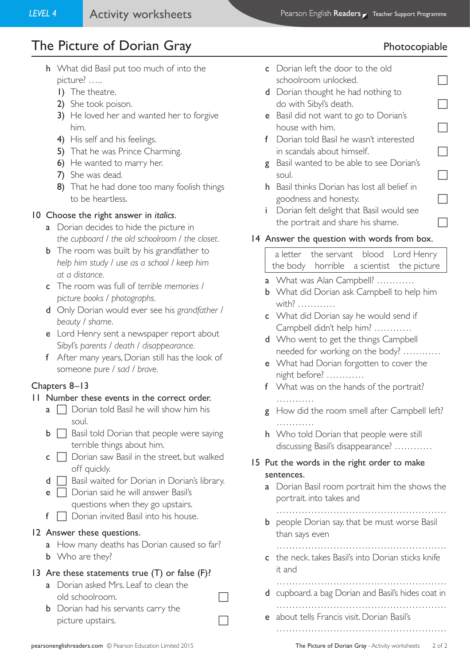# The Picture of Dorian Gray **Photocopiable** Photocopiable

- h What did Basil put too much of into the picture? …..
	- 1) The theatre.
	- 2) She took poison.
	- 3) He loved her and wanted her to forgive him.
	- 4) His self and his feelings.
	- 5) That he was Prince Charming.
	- 6) He wanted to marry her.
	- 7) She was dead.
	- 8) That he had done too many foolish things to be heartless.

## 10 Choose the right answer in *italics*.

- a Dorian decides to hide the picture in *the cupboard* / *the old schoolroom* / *the closet.*
- **b** The room was built by his grandfather to *help him study* / *use as a school* / *keep him at a distance.*
- c The room was full of *terrible memories* / *picture books* / *photographs.*
- d Only Dorian would ever see his *grandfather* / *beauty* / *shame*.
- e Lord Henry sent a newspaper report about Sibyl's *parents* / *death* / *disappearance.*
- f After many years, Dorian still has the look of someone *pure* / *sad* / *brave.*

## Chapters 8–13

## 11 Number these events in the correct order.

- **a**  $\Box$  Dorian told Basil he will show him his soul.
- $\mathbf{b} \Box$  Basil told Dorian that people were saying terrible things about him.
- $\mathsf{c} \ \Box$  Dorian saw Basil in the street, but walked off quickly.
- $d \prod$  Basil waited for Dorian in Dorian's library.
- **e**  $\Box$  Dorian said he will answer Basil's questions when they go upstairs.
- $f \Box$  Dorian invited Basil into his house.

## 12 Answer these questions.

- a How many deaths has Dorian caused so far?
- **b** Who are they?

## 13 Are these statements true (T) or false (F)?

- a Dorian asked Mrs. Leaf to clean the old schoolroom.
- **b** Dorian had his servants carry the picture upstairs.
- c Dorian left the door to the old schoolroom unlocked.
- d Dorian thought he had nothing to do with Sibyl's death.
- e Basil did not want to go to Dorian's house with him.
- f Dorian told Basil he wasn't interested in scandals about himself.
- g Basil wanted to be able to see Dorian's soul.
- h Basil thinks Dorian has lost all belief in goodness and honesty.  $\Box$
- i Dorian felt delight that Basil would see the portrait and share his shame.

## 14 Answer the question with words from box.

a letter the servant blood Lord Henry the body horrible a scientist the picture

- a What was Alan Campbell? …………
- **b** What did Dorian ask Campbell to help him with? …………
- c What did Dorian say he would send if Campbell didn't help him? …………
- d Who went to get the things Campbell needed for working on the body? …………
- e What had Dorian forgotten to cover the night before? …………
- f What was on the hands of the portrait? ……………
- g How did the room smell after Campbell left? ……………
- h Who told Dorian that people were still discussing Basil's disappearance? …………

## 15 Put the words in the right order to make sentences.

- a Dorian Basil room portrait him the shows the portrait. into takes and
- ……………………………………………… **b** people Dorian say that be must worse Basil than says even
- ……………………………………………… c the neck. takes Basil's into Dorian sticks knife it and

 ……………………………………………… d cupboard. a bag Dorian and Basil's hides coat in

………………………………………………

- e about tells Francis visit. Dorian Basil's
	- ………………………………………………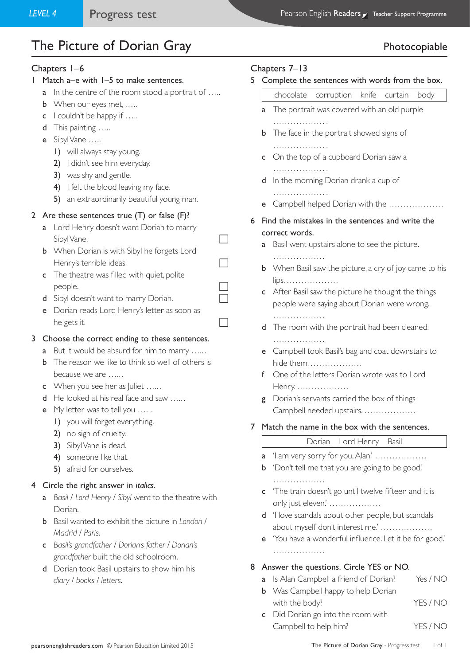# The Picture of Dorian Gray **Photocopiable** Photocopiable

#### Chapters 1–6

- 1 Match a–e with 1–5 to make sentences.
	- a In the centre of the room stood a portrait of .....
	- **b** When our eyes met, .....
	- c I couldn't be happy if …..
	- d This painting .....
	- e Sibyl Vane …..
		- 1) will always stay young.
		- 2) I didn't see him everyday.
		- 3) was shy and gentle.
		- 4) I felt the blood leaving my face.
		- 5) an extraordinarily beautiful young man.

#### 2 Are these sentences true (T) or false (F)?

- a Lord Henry doesn't want Dorian to marry  $SibylVane.$
- **b** When Dorian is with Sibyl he forgets Lord Henry's terrible ideas.  $\Box$
- c The theatre was filled with quiet, polite people.
- d Sibyl doesn't want to marry Dorian.
- e Dorian reads Lord Henry's letter as soon as he gets it.

#### 3 Choose the correct ending to these sentences.

- a But it would be absurd for him to marry …...
- **b** The reason we like to think so well of others is because we are ......
- c When you see her as Juliet .....
- d He looked at his real face and saw ......
- e My letter was to tell you ......
	- 1) you will forget everything.
	- 2) no sign of cruelty.
	- 3) Sibyl Vane is dead.
	- 4) someone like that.
	- 5) afraid for ourselves.

#### 4 Circle the right answer in *italics*.

- a *Basil* / *Lord Henry* / *Sibyl* went to the theatre with Dorian.
- b Basil wanted to exhibit the picture in *London* / *Madrid* / *Paris*.
- c *Basil's grandfather* / *Dorian's father* / *Dorian's grandfather* built the old schoolroom.
- d Dorian took Basil upstairs to show him his *diary* / *books* / *letters*.

#### Chapters 7–13

5 Complete the sentences with words from the box.

| Complete the sentences with words from the box. |                                                                    |                                               |                                    |  |  |      |  |
|-------------------------------------------------|--------------------------------------------------------------------|-----------------------------------------------|------------------------------------|--|--|------|--|
|                                                 |                                                                    |                                               | chocolate corruption knife curtain |  |  | body |  |
|                                                 | <b>a</b> The portrait was covered with an old purple               |                                               |                                    |  |  |      |  |
|                                                 | .<br><b>b</b> The face in the portrait showed signs of             |                                               |                                    |  |  |      |  |
|                                                 | <b>c</b> On the top of a cupboard Dorian saw a                     |                                               |                                    |  |  |      |  |
|                                                 | <b>d</b> In the morning Dorian drank a cup of                      |                                               |                                    |  |  |      |  |
|                                                 | e –                                                                | .<br>Campbell helped Dorian with the          |                                    |  |  |      |  |
| 6                                               | Find the mistakes in the sentences and write the<br>correct words. |                                               |                                    |  |  |      |  |
|                                                 |                                                                    |                                               |                                    |  |  |      |  |
|                                                 | a                                                                  | Basil went upstairs alone to see the picture. |                                    |  |  |      |  |

- ………………
- **b** When Basil saw the picture, a cry of joy came to his lips. ………………
- c After Basil saw the picture he thought the things people were saying about Dorian were wrong. ………………
- d The room with the portrait had been cleaned. ……………………
- e Campbell took Basil's bag and coat downstairs to hide them. ………………
- f One of the letters Dorian wrote was to Lord Henry. ………………
- g Dorian's servants carried the box of things Campbell needed upstairs. ………………
- 7 Match the name in the box with the sentences.

## Dorian Lord Henry Basil

- a 'I am very sorry for you, Alan.'  $\dots\dots\dots\dots\dots$
- **b** 'Don't tell me that you are going to be good.' ………………
- c 'The train doesn't go until twelve fifteen and it is only just eleven.' ………………
- d 'I love scandals about other people, but scandals about myself don't interest me.' ………………
- e 'You have a wonderful influence. Let it be for good.' ……………………

#### 8 Answer the questions. Circle YES or NO.

- a Is Alan Campbell a friend of Dorian? Yes / NO
- **b** Was Campbell happy to help Dorian with the body? YES / NO
- c Did Dorian go into the room with Campbell to help him? YES / NO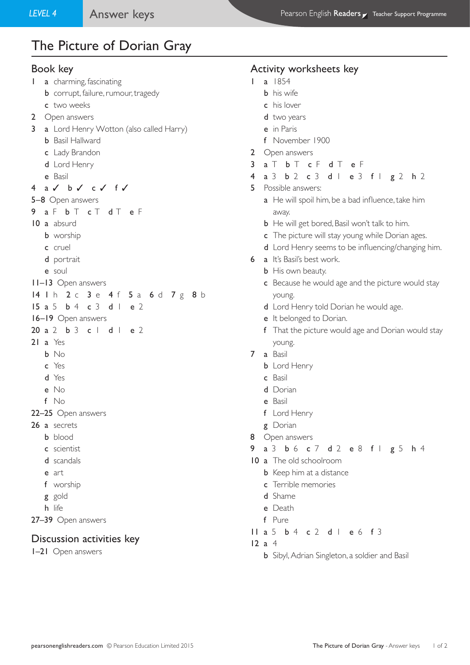# The Picture of Dorian Gray

#### Book key

- 1 **a** charming, fascinating
	- **b** corrupt, failure, rumour, tragedy
	- c two weeks
- 2 Open answers
- 3 a Lord Henry Wotton (also called Harry)
	- **b** Basil Hallward
	- c Lady Brandon
	- d Lord Henry
	- e Basil

4 a ✓ b ✓ c ✓ f ✓

- 5–8 Open answers
- 9 a F b T c T d T e F
- 10 a absurd
	- **b** worship
	- c cruel
	- d portrait
	- e soul
- 11–13 Open answers
- 14 1 h 2 c 3 e 4 f 5 a 6 d 7 g 8 b
- 15 a 5 b 4 c 3 d 1 e 2
- 16–19 Open answers
- 20 a 2 b 3 c | d | e 2
- $21 a Yes$ 
	- b No
	- c Yes
	- d Yes
	- e No
	- f No
- 22–25 Open answers
- 26 a secrets
	- **b** blood
	- c scientist
	- d scandals
	- e art
	- f worship
	- g gold
	- h life
- 27–39 Open answers

### Discussion activities key

1–21 Open answers

#### Activity worksheets key

- 1 a 1854
	- b his wife
	- c his lover
	- d two years
	- e in Paris
	- f November 1900
- 2 Open answers
- 3 a T b T c F d T e F
- 4 a 3 b 2 c 3 d 1 e 3 f 1 g 2 h 2
- 5 Possible answers:
	- a He will spoil him, be a bad influence, take him away.
	- **b** He will get bored, Basil won't talk to him.
	- c The picture will stay young while Dorian ages.
	- d Lord Henry seems to be influencing/changing him.
- 6 a It's Basil's best work.
	- **b** His own beauty.
	- c Because he would age and the picture would stay young.
	- d Lord Henry told Dorian he would age.
	- e It belonged to Dorian.
	- f That the picture would age and Dorian would stay young.
- 7 a Basil
	- **b** Lord Henry
	- c Basil
	- d Dorian
	- e Basil
	- f Lord Henry
	- g Dorian
- 8 Open answers
- 9 a 3 b 6 c 7 d 2 e 8 f 1 g 5 h 4
- 10 a The old schoolroom
	- **b** Keep him at a distance
	- c Terrible memories
	- d Shame
	- e Death
	- f Pure
- 11 a 5 b 4 c 2 d 1 e 6 f 3

12 a 4

**b** Sibyl, Adrian Singleton, a soldier and Basil